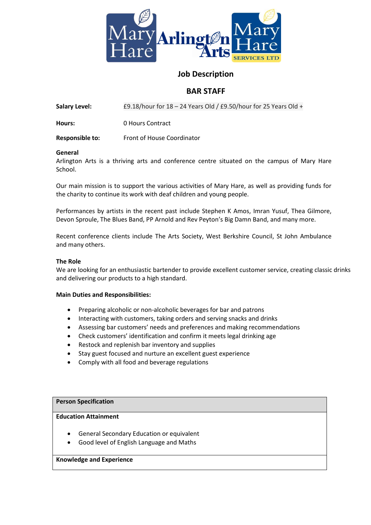

## **Job Description**

# **BAR STAFF**

**Salary Level:** £9.18/hour for 18 – 24 Years Old / £9.50/hour for 25 Years Old +

**Hours:** 0 Hours Contract

**Responsible to:** Front of House Coordinator

## **General**

Arlington Arts is a thriving arts and conference centre situated on the campus of Mary Hare School.

Our main mission is to support the various activities of Mary Hare, as well as providing funds for the charity to continue its work with deaf children and young people.

Performances by artists in the recent past include Stephen K Amos, Imran Yusuf, Thea Gilmore, Devon Sproule, The Blues Band, PP Arnold and Rev Peyton's Big Damn Band, and many more.

Recent conference clients include The Arts Society, West Berkshire Council, St John Ambulance and many others.

#### **The Role**

We are looking for an enthusiastic bartender to provide excellent customer service, creating classic drinks and delivering our products to a high standard.

#### **Main Duties and Responsibilities:**

- Preparing alcoholic or non-alcoholic beverages for bar and patrons
- Interacting with customers, taking orders and serving snacks and drinks
- Assessing bar customers' needs and preferences and making recommendations
- Check customers' identification and confirm it meets legal drinking age
- Restock and replenish bar inventory and supplies
- Stay guest focused and nurture an excellent guest experience
- Comply with all food and beverage regulations

#### **Person Specification**

#### **Education Attainment**

- General Secondary Education or equivalent
- Good level of English Language and Maths

#### **Knowledge and Experience**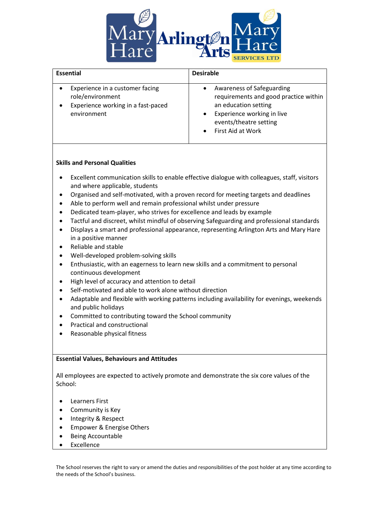

| <b>Essential</b>                                                                                         | <b>Desirable</b>                                                                                                                                                        |
|----------------------------------------------------------------------------------------------------------|-------------------------------------------------------------------------------------------------------------------------------------------------------------------------|
| Experience in a customer facing<br>role/environment<br>Experience working in a fast-paced<br>environment | Awareness of Safeguarding<br>requirements and good practice within<br>an education setting<br>Experience working in live<br>events/theatre setting<br>First Aid at Work |

## **Skills and Personal Qualities**

- Excellent communication skills to enable effective dialogue with colleagues, staff, visitors and where applicable, students
- Organised and self-motivated, with a proven record for meeting targets and deadlines
- Able to perform well and remain professional whilst under pressure
- Dedicated team-player, who strives for excellence and leads by example
- Tactful and discreet, whilst mindful of observing Safeguarding and professional standards
- Displays a smart and professional appearance, representing Arlington Arts and Mary Hare in a positive manner
- Reliable and stable
- Well-developed problem-solving skills
- Enthusiastic, with an eagerness to learn new skills and a commitment to personal continuous development
- High level of accuracy and attention to detail
- Self-motivated and able to work alone without direction
- Adaptable and flexible with working patterns including availability for evenings, weekends and public holidays
- Committed to contributing toward the School community
- Practical and constructional
- Reasonable physical fitness

## **Essential Values, Behaviours and Attitudes**

All employees are expected to actively promote and demonstrate the six core values of the School:

- Learners First
- Community is Key
- Integrity & Respect
- Empower & Energise Others
- Being Accountable
- Excellence

The School reserves the right to vary or amend the duties and responsibilities of the post holder at any time according to the needs of the School's business.